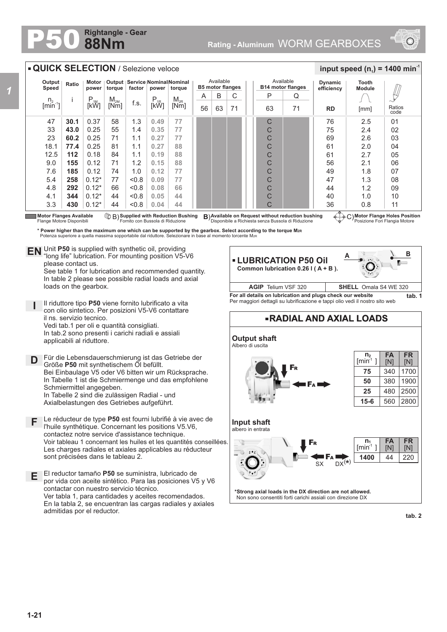## **88Nm Rightangle - Gear**



## **A B RADIAL AND AXIAL LOADS Output shaft** Albero di uscita **FR** [N] **FA** [N] **n 2**  $[min^1]$ **Motor Flange Holes Position** Posizione Fori Flangia Motore **Motor Flanges Available ① B) Supplied with Reduction Bushing B)Available on Request without reduction bushing ④……)<br>Flange Motore Disponibili Fornito con Bussola di Riduzione Disponibile a Richiesta senza B Motor Flanges Available**<br>Flange Motore Disponibili **Supplied with Reduction Bushing** Fornito con Bussola di Riduzione B) **B**) 47 33 23 18.1 12.5 9.0 7.6 5.4 4.8 4.1 3.3 **30.1 43.0 60.2 77.4 112 155 185 258 292 344 430** 0.37 0.25 0.25 0.25 0.18 0.12 0.12  $0.12*$  $0.12*$ 0.12\* 0.12\* 58 55 71 81  $84$ 71 74 77 66 44 44 1.3 1.4 1.1 1.1 1.1 1.2 1.0  $< 0.8$  $< 0.8$  $< 0.8$  $< 0.8$ n.  $[min^{-1}]$ i P<br>[kW]  $M_{2M}$ <br>Mml  $\begin{array}{c|c|c|c} \mathsf{M}_{\mathsf{2M}} & \mathsf{f.s.} & \mathsf{P}_{\mathsf{1R}} & \mathsf{M}_{\mathsf{2R}} \ \hline \mathsf{[Nm]} & \mathsf{[KW]} & \mathsf{[KW]} \end{array}$ **Output Speed Ratio Motor power Output torque Service Nominal Nominal factor power torque QUICK SELECTION** / Selezione veloce **RD Dynamic efficiency** 76 75 69 61  $61$ 56 49 47 44 40 36 2.5  $2\Delta$ 2.6 2.0 2.7 2.1 1.8 1.3 1.2 1.0 0.8 Ratios code 01  $02$ 03 04 05 06 07 08 09 10 11 **Tooth Module**  $\frac{1}{2}$  **input speed (n**<sub>1</sub>) = 1400 min<sup>-1</sup> \* **Power higher than the maximum one which can be supported by the gearbox. Select according to the torque Mar**<br>Potenza superiore a quella massima sopportabile dal riduttore. Selezionare in base al momento torcente Mar Available **B14 motor flanges** P 63 Q 71 C C C C  $\overline{C}$  $\overline{C}$  $\overline{C}$  $\overline{C}$  $\overline{C}$ C  $\Gamma$ Unit **P50** is supplied with synthetic oil, providing **EN** Unit P50 is supplied with synthetic oil, providing<br>"long life" lubrication. For mounting position V5-V6 please contact us. See table 1 for lubrication and recommended quantity. In table 2 please see possible radial loads and axial loads on the gearbox. **D I** Il riduttore tipo **P50** viene fornito lubrificato a vita con olio sintetico. Per posizioni V5-V6 contattare il ns. servizio tecnico. Vedi tab.1 per oli e quantità consigliati. In tab.2 sono presenti i carichi radiali e assiali applicabili al riduttore. Für die Lebensdauerschmierung ist das Getriebe der A 56 B 63 C 71 Available **B5 motor flanges For all details on lubrication and plugs check our website tab. 1** Per maggiori dettagli su lubrificazione e tappi olio vedi il nostro sito web **AGIP** Telium VSF 320 **SHELL** Omala S4 WE 320 **LUBRICATION P50 Oil Common lubrication 0.26 l ( A + B ).**  [mm] **0.49 0.35 0.27 0.27 0.19 0.15 0.12 0.09 0.08 0.05 0.04 77 77 77 88 88 88 77 77 66 44 44**

Größe **P50** mit synthetischem Öl befüllt. Bei Einbaulage V5 oder V6 bitten wir um Rücksprache. In Tabelle 1 ist die Schmiermenge und das empfohlene Schmiermittel angegeben. In Tabelle 2 sind die zulässigen Radial - und Axialbelastungen des Getriebes aufgeführt.

- **F** Le réducteur de type **P50** est fourni lubrifié à vie avec de l'huile synthétique. Concernant les positions V5.V6, contactez notre service d'assistance technique. Voir tableau 1 concernant les huiles et les quantités conseillées. Les charges radiales et axiales applicables au réducteur sont précisées dans le tableau 2.
- **E** El reductor tamaño **P50** se suministra, lubricado de por vida con aceite sintético. Para las posiciones V5 y V6 contactar con nuestro servicio técnico. Ver tabla 1, para cantidades y aceites recomendados. En la tabla 2, se encuentran las cargas radiales y axiales admitidas por el reductor.

**\*Strong axial loads in the DX direction are not allowed.**

F<sup>A</sup>

F<sup>R</sup>

F<sup>R</sup>

 $S_X$  DX<sup>(\*)</sup>

F<sup>A</sup>

**Input shaft** albero in entrata

Ò

Non sono consentiti forti carichi assiali con direzione DX

**tab. 2**

220

**FR** [N]

1900 2500 2800

1700

**FA** [N] 44

340

380 480 560

**n 1**  $[min^1]$ **1400**